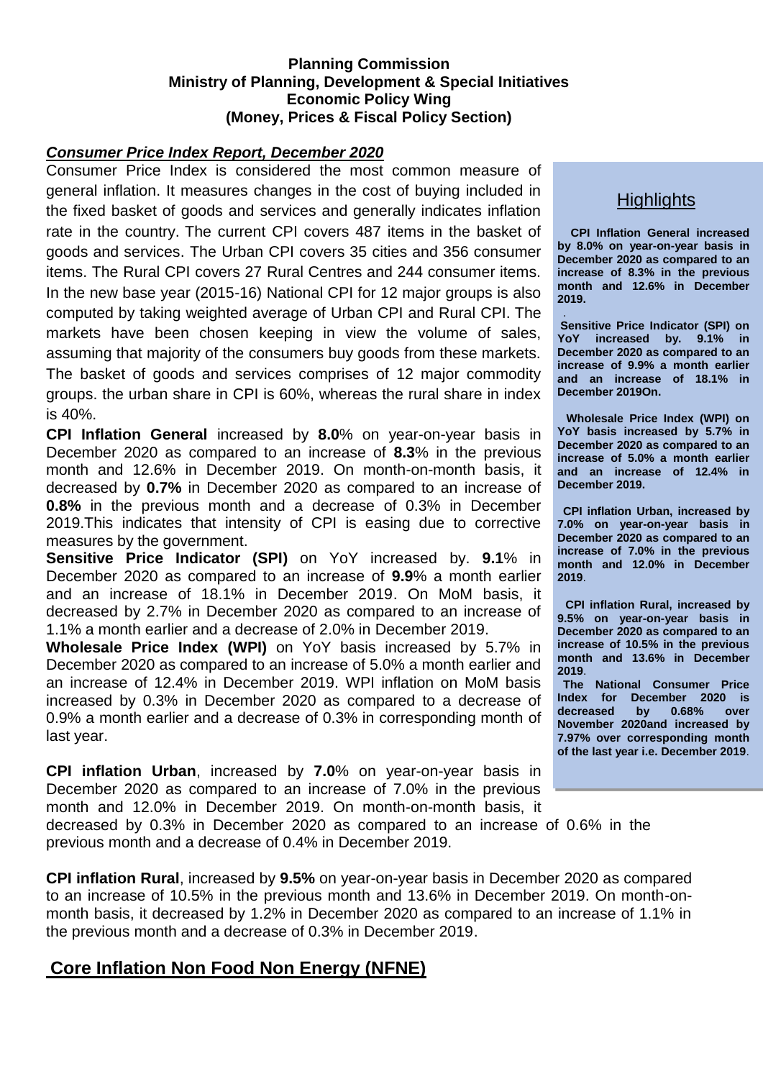## **Planning Commission Ministry of Planning, Development & Special Initiatives Economic Policy Wing (Money, Prices & Fiscal Policy Section)**

### *Consumer Price Index Report, December 2020*

Consumer Price Index is considered the most common measure of general inflation. It measures changes in the cost of buying included in the fixed basket of goods and services and generally indicates inflation rate in the country. The current CPI covers 487 items in the basket of goods and services. The Urban CPI covers 35 cities and 356 consumer items. The Rural CPI covers 27 Rural Centres and 244 consumer items. In the new base year (2015-16) National CPI for 12 major groups is also computed by taking weighted average of Urban CPI and Rural CPI. The markets have been chosen keeping in view the volume of sales, assuming that majority of the consumers buy goods from these markets. The basket of goods and services comprises of 12 major commodity groups. the urban share in CPI is 60%, whereas the rural share in index is 40%.

**CPI Inflation General** increased by **8.0**% on year-on-year basis in December 2020 as compared to an increase of **8.3**% in the previous month and 12.6% in December 2019. On month-on-month basis, it decreased by **0.7%** in December 2020 as compared to an increase of **0.8%** in the previous month and a decrease of 0.3% in December 2019.This indicates that intensity of CPI is easing due to corrective measures by the government.

**Sensitive Price Indicator (SPI)** on YoY increased by. **9.1**% in December 2020 as compared to an increase of **9.9**% a month earlier and an increase of 18.1% in December 2019. On MoM basis, it decreased by 2.7% in December 2020 as compared to an increase of 1.1% a month earlier and a decrease of 2.0% in December 2019.

**Wholesale Price Index (WPI)** on YoY basis increased by 5.7% in December 2020 as compared to an increase of 5.0% a month earlier and an increase of 12.4% in December 2019. WPI inflation on MoM basis increased by 0.3% in December 2020 as compared to a decrease of 0.9% a month earlier and a decrease of 0.3% in corresponding month of last year.

**CPI inflation Urban**, increased by **7.0**% on year-on-year basis in December 2020 as compared to an increase of 7.0% in the previous month and 12.0% in December 2019. On month-on-month basis, it

decreased by 0.3% in December 2020 as compared to an increase of 0.6% in the previous month and a decrease of 0.4% in December 2019.

**CPI inflation Rural**, increased by **9.5%** on year-on-year basis in December 2020 as compared to an increase of 10.5% in the previous month and 13.6% in December 2019. On month-onmonth basis, it decreased by 1.2% in December 2020 as compared to an increase of 1.1% in the previous month and a decrease of 0.3% in December 2019.

# **Core Inflation Non Food Non Energy (NFNE)**

# **Highlights**

**CPI Inflation General increased by 8.0% on year-on-year basis in December 2020 as compared to an increase of 8.3% in the previous month and 12.6% in December 2019.**

. **Sensitive Price Indicator (SPI) on YoY increased by. 9.1% in December 2020 as compared to an increase of 9.9% a month earlier and an increase of 18.1% in December 2019On.**

**Wholesale Price Index (WPI) on YoY basis increased by 5.7% in December 2020 as compared to an increase of 5.0% a month earlier and an increase of 12.4% in December 2019.**

**CPI inflation Urban, increased by 7.0% on year-on-year basis in December 2020 as compared to an increase of 7.0% in the previous month and 12.0% in December 2019**.

**CPI inflation Rural, increased by 9.5% on year-on-year basis in December 2020 as compared to an increase of 10.5% in the previous month and 13.6% in December 2019**.

**The National Consumer Price Index for December 2020 is decreased by 0.68% over November 2020and increased by 7.97% over corresponding month of the last year i.e. December 2019**.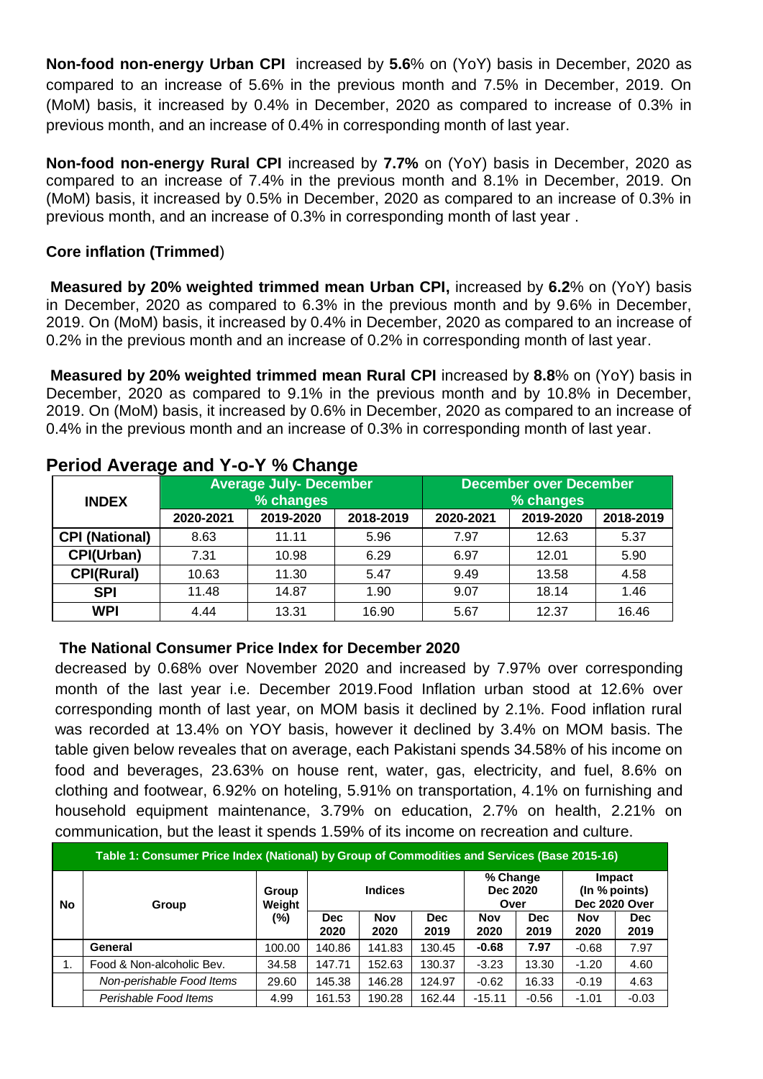**Non-food non-energy Urban CPI** increased by **5.6**% on (YoY) basis in December, 2020 as compared to an increase of 5.6% in the previous month and 7.5% in December, 2019. On (MoM) basis, it increased by 0.4% in December, 2020 as compared to increase of 0.3% in previous month, and an increase of 0.4% in corresponding month of last year.

**Non-food non-energy Rural CPI** increased by **7.7%** on (YoY) basis in December, 2020 as compared to an increase of 7.4% in the previous month and 8.1% in December, 2019. On (MoM) basis, it increased by 0.5% in December, 2020 as compared to an increase of 0.3% in previous month, and an increase of 0.3% in corresponding month of last year .

## **Core inflation (Trimmed**)

**Measured by 20% weighted trimmed mean Urban CPI,** increased by **6.2**% on (YoY) basis in December, 2020 as compared to 6.3% in the previous month and by 9.6% in December, 2019. On (MoM) basis, it increased by 0.4% in December, 2020 as compared to an increase of 0.2% in the previous month and an increase of 0.2% in corresponding month of last year.

**Measured by 20% weighted trimmed mean Rural CPI** increased by **8.8**% on (YoY) basis in December, 2020 as compared to 9.1% in the previous month and by 10.8% in December, 2019. On (MoM) basis, it increased by 0.6% in December, 2020 as compared to an increase of 0.4% in the previous month and an increase of 0.3% in corresponding month of last year.

| <b>INDEX</b>          |           | <b>Average July- December</b><br>% changes |           |           | <b>December over December</b><br>% changes |           |  |  |  |  |
|-----------------------|-----------|--------------------------------------------|-----------|-----------|--------------------------------------------|-----------|--|--|--|--|
|                       | 2020-2021 | 2019-2020                                  | 2018-2019 | 2020-2021 | 2019-2020                                  | 2018-2019 |  |  |  |  |
| <b>CPI (National)</b> | 8.63      | 11.11                                      | 5.96      | 7.97      | 12.63                                      | 5.37      |  |  |  |  |
| CPI(Urban)            | 7.31      | 10.98                                      | 6.29      | 6.97      | 12.01                                      | 5.90      |  |  |  |  |
| <b>CPI(Rural)</b>     | 10.63     | 11.30                                      | 5.47      | 9.49      | 13.58                                      | 4.58      |  |  |  |  |
| <b>SPI</b>            | 11.48     | 14.87                                      | 1.90      | 9.07      | 18.14                                      | 1.46      |  |  |  |  |
| <b>WPI</b>            | 4.44      | 13.31                                      | 16.90     | 5.67      | 12.37                                      | 16.46     |  |  |  |  |

# **Period Average and Y-o-Y % Change**

#### **The National Consumer Price Index for December 2020**

decreased by 0.68% over November 2020 and increased by 7.97% over corresponding month of the last year i.e. December 2019.Food Inflation urban stood at 12.6% over corresponding month of last year, on MOM basis it declined by 2.1%. Food inflation rural was recorded at 13.4% on YOY basis, however it declined by 3.4% on MOM basis. The table given below reveales that on average, each Pakistani spends 34.58% of his income on food and beverages, 23.63% on house rent, water, gas, electricity, and fuel, 8.6% on clothing and footwear, 6.92% on hoteling, 5.91% on transportation, 4.1% on furnishing and household equipment maintenance, 3.79% on education, 2.7% on health, 2.21% on communication, but the least it spends 1.59% of its income on recreation and culture.

| Table 1: Consumer Price Index (National) by Group of Commodities and Services (Base 2015-16) |                           |                 |                    |                    |                    |                              |                    |                                          |                    |  |  |  |  |  |
|----------------------------------------------------------------------------------------------|---------------------------|-----------------|--------------------|--------------------|--------------------|------------------------------|--------------------|------------------------------------------|--------------------|--|--|--|--|--|
| <b>No</b>                                                                                    | Group                     | Group<br>Weight |                    | <b>Indices</b>     |                    | % Change<br>Dec 2020<br>Over |                    | Impact<br>(In % points)<br>Dec 2020 Over |                    |  |  |  |  |  |
|                                                                                              |                           | $(\%)$          | <b>Dec</b><br>2020 | <b>Nov</b><br>2020 | <b>Dec</b><br>2019 | <b>Nov</b><br>2020           | <b>Dec</b><br>2019 | <b>Nov</b><br>2020                       | <b>Dec</b><br>2019 |  |  |  |  |  |
|                                                                                              | General                   | 100.00          | 140.86             | 141.83             | 130.45             | $-0.68$                      | 7.97               | $-0.68$                                  | 7.97               |  |  |  |  |  |
| 1.                                                                                           | Food & Non-alcoholic Bev. | 34.58           | 147.71             | 152.63             | 130.37             | $-3.23$                      | 13.30              | $-1.20$                                  | 4.60               |  |  |  |  |  |
|                                                                                              | Non-perishable Food Items | 29.60           | 145.38             | 146.28             | 124.97             | $-0.62$                      | 16.33              | $-0.19$                                  | 4.63               |  |  |  |  |  |
|                                                                                              | Perishable Food Items     | 4.99            | 161.53             | 190.28             | 162.44             | $-15.11$                     | $-0.56$            | $-1.01$                                  | $-0.03$            |  |  |  |  |  |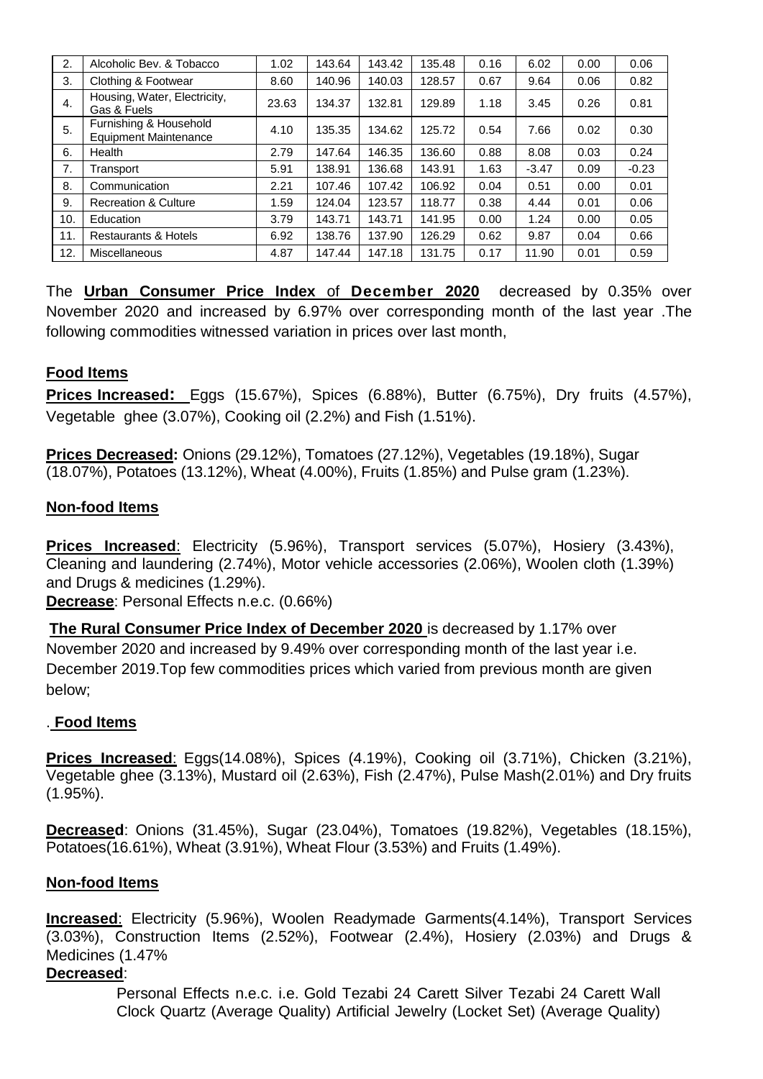| 2.             | Alcoholic Bev. & Tobacco                               | 1.02  | 143.64 | 143.42 | 135.48 | 0.16 | 6.02    | 0.00 | 0.06    |
|----------------|--------------------------------------------------------|-------|--------|--------|--------|------|---------|------|---------|
| 3.             | Clothing & Footwear                                    | 8.60  | 140.96 | 140.03 | 128.57 | 0.67 | 9.64    | 0.06 | 0.82    |
| $\mathbf{4}$ . | Housing, Water, Electricity,<br>Gas & Fuels            | 23.63 | 134.37 | 132.81 | 129.89 | 1.18 | 3.45    | 0.26 | 0.81    |
| 5.             | Furnishing & Household<br><b>Equipment Maintenance</b> | 4.10  | 135.35 | 134.62 | 125.72 | 0.54 | 7.66    | 0.02 | 0.30    |
| 6.             | Health                                                 | 2.79  | 147.64 | 146.35 | 136.60 | 0.88 | 8.08    | 0.03 | 0.24    |
| 7.             | Transport                                              | 5.91  | 138.91 | 136.68 | 143.91 | 1.63 | $-3.47$ | 0.09 | $-0.23$ |
| 8.             | Communication                                          | 2.21  | 107.46 | 107.42 | 106.92 | 0.04 | 0.51    | 0.00 | 0.01    |
| 9.             | <b>Recreation &amp; Culture</b>                        | 1.59  | 124.04 | 123.57 | 118.77 | 0.38 | 4.44    | 0.01 | 0.06    |
| 10.            | Education                                              | 3.79  | 143.71 | 143.71 | 141.95 | 0.00 | 1.24    | 0.00 | 0.05    |
| 11.            | <b>Restaurants &amp; Hotels</b>                        | 6.92  | 138.76 | 137.90 | 126.29 | 0.62 | 9.87    | 0.04 | 0.66    |
| 12.            | Miscellaneous                                          | 4.87  | 147.44 | 147.18 | 131.75 | 0.17 | 11.90   | 0.01 | 0.59    |

The **Urban Consumer Price Index** of **December 2020** decreased by 0.35% over November 2020 and increased by 6.97% over corresponding month of the last year .The following commodities witnessed variation in prices over last month,

## **Food Items**

**Prices Increased:** Eggs (15.67%), Spices (6.88%), Butter (6.75%), Dry fruits (4.57%), Vegetable ghee (3.07%), Cooking oil (2.2%) and Fish (1.51%).

**Prices Decreased:** Onions (29.12%), Tomatoes (27.12%), Vegetables (19.18%), Sugar (18.07%), Potatoes (13.12%), Wheat (4.00%), Fruits (1.85%) and Pulse gram (1.23%).

#### **Non-food Items**

**Prices Increased**: Electricity (5.96%), Transport services (5.07%), Hosiery (3.43%), Cleaning and laundering (2.74%), Motor vehicle accessories (2.06%), Woolen cloth (1.39%) and Drugs & medicines (1.29%).

**Decrease**: Personal Effects n.e.c. (0.66%)

**The Rural Consumer Price Index of December 2020** is decreased by 1.17% over November 2020 and increased by 9.49% over corresponding month of the last year i.e. December 2019.Top few commodities prices which varied from previous month are given below;

#### . **Food Items**

**Prices Increased**: Eggs(14.08%), Spices (4.19%), Cooking oil (3.71%), Chicken (3.21%), Vegetable ghee (3.13%), Mustard oil (2.63%), Fish (2.47%), Pulse Mash(2.01%) and Dry fruits (1.95%).

**Decreased**: Onions (31.45%), Sugar (23.04%), Tomatoes (19.82%), Vegetables (18.15%), Potatoes(16.61%), Wheat (3.91%), Wheat Flour (3.53%) and Fruits (1.49%).

#### **Non-food Items**

**Increased**: Electricity (5.96%), Woolen Readymade Garments(4.14%), Transport Services (3.03%), Construction Items (2.52%), Footwear (2.4%), Hosiery (2.03%) and Drugs & Medicines (1.47%

#### **Decreased**:

Personal Effects n.e.c. i.e. Gold Tezabi 24 Carett Silver Tezabi 24 Carett Wall Clock Quartz (Average Quality) Artificial Jewelry (Locket Set) (Average Quality)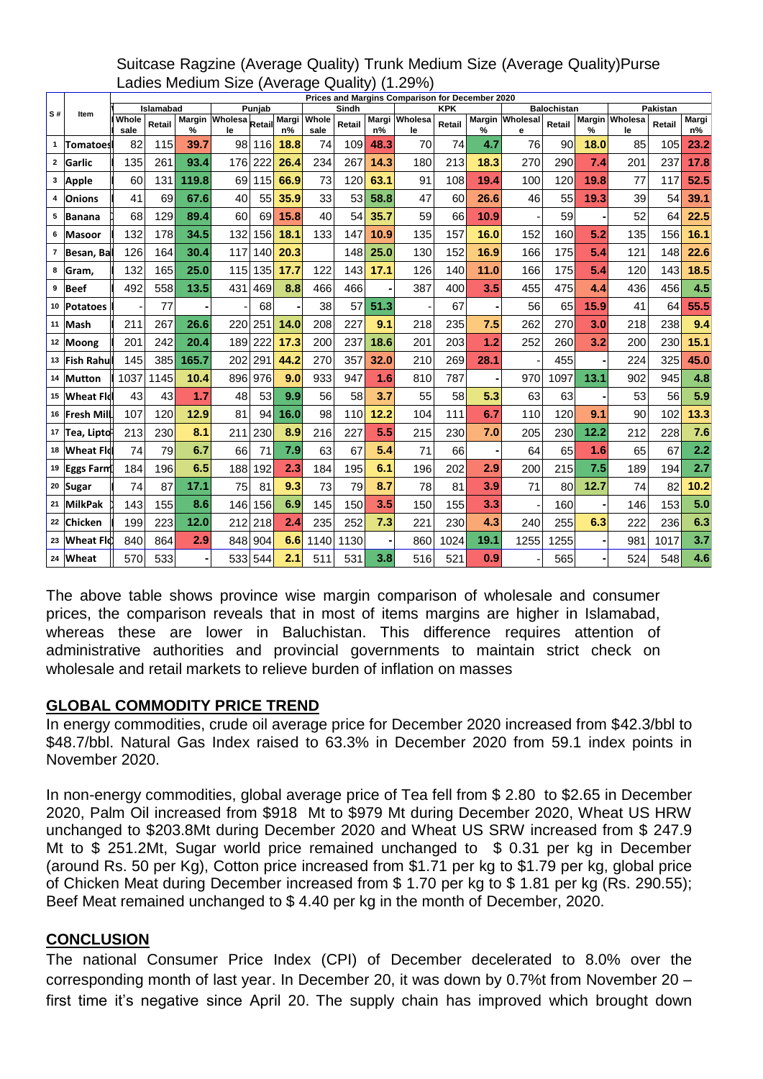|    | ltem            | Prices and Margins Comparison for December 2020 |        |       |                      |         |             |                     |        |      |                     |            |                    |                      |                 |      |                      |        |             |
|----|-----------------|-------------------------------------------------|--------|-------|----------------------|---------|-------------|---------------------|--------|------|---------------------|------------|--------------------|----------------------|-----------------|------|----------------------|--------|-------------|
| S# |                 | Islamabad<br>Punjab                             |        |       |                      |         |             | Sindh<br><b>KPK</b> |        |      |                     |            | <b>Balochistan</b> | Pakistan             |                 |      |                      |        |             |
|    |                 | Whole<br>sale                                   | Retail | %     | Margin Wholesa<br>le | Retail  | Margi<br>n% | Whole<br>sale       | Retail | n%   | Margi Wholesa<br>le | Retail     | %                  | Margin Wholesal<br>е | Retail          | %    | Margin Wholesa<br>le | Retail | Margi<br>n% |
| 1  | <b>Tomatoes</b> | 82                                              | 115    | 39.7  | 98                   | 116     | 18.8        | 74                  | 109    | 48.3 | 70                  | 74         | 4.7                | 76                   | 90 <sup>1</sup> | 18.0 | 85                   | 105    | 23.2        |
|    | 2 Garlic        | 135                                             | 261    | 93.4  |                      | 176 222 | 26.4        | 234                 | 267    | 14.3 | 180                 | 213        | 18.3               | 270                  | 290             | 7.4  | 201                  | 237    | 17.8        |
| 3  | Apple           | 60                                              | 131    | 119.8 | 69                   | 115     | 66.9        | 73                  | 120    | 63.1 | 91                  | 108        | 19.4               | 100                  | 120             | 19.8 | 77                   | 117    | 52.5        |
| 4  | <b>Onions</b>   | 41                                              | 69     | 67.6  | 40                   | 55      | 35.9        | 33                  | 53     | 58.8 | 47                  | 60         | 26.6               | 46                   | 55              | 19.3 | 39                   | 54     | 39.1        |
| 5  | <b>Banana</b>   | 68                                              | 129    | 89.4  | 60                   | 69      | 15.8        | 40                  | 54     | 35.7 | 59                  | 66         | 10.9               |                      | 59              |      | 52                   | 64     | 22.5        |
| 6  | <b>Masoor</b>   | 132                                             | 178    | 34.5  | 132                  | 156     | 18.1        | 133                 | 147    | 10.9 | 135                 | 157        | 16.0               | 152                  | 160             | 5.2  | 135                  | 156    | 16.1        |
| 7  | Besan, Ba       | 126                                             | 164    | 30.4  | 117                  | 140     | 20.3        |                     | 148    | 25.0 | 130                 | 152        | 16.9               | 166                  | 175             | 5.4  | 121                  | 148    | 22.6        |
| 8  | Gram,           | 132                                             | 165    | 25.0  | 115                  | 135     | 17.7        | 122                 | 143    | 17.1 | 126                 | 140        | 11.0               | 166                  | 175             | 5.4  | 120                  | 143    | 18.5        |
| 9  | <b>Beef</b>     | 492                                             | 558    | 13.5  | 431                  | 469     | 8.8         | 466                 | 466    |      | 387                 | 400        | 3.5                | 455                  | 475             | 4.4  | 436                  | 456    | 4.5         |
|    | 10 Potatoes     |                                                 | 77     |       |                      | 68      |             | 38                  | 57     | 51.3 |                     | 67         |                    | 56                   | 65              | 15.9 | 41                   | 64     | 55.5        |
|    | 11 Mash         | 211                                             | 267    | 26.6  | 220                  | 251     | 14.0        | 208                 | 227    | 9.1  | 218                 | 235        | 7.5                | 262                  | 270             | 3.0  | 218                  | 238    | 9.4         |
|    | 12 Moong        | 201                                             | 242    | 20.4  |                      | 189 222 | 17.3        | 200                 | 237    | 18.6 | 201                 | 203        | 1.2                | 252                  | 260             | 3.2  | 200                  | 230    | 15.1        |
|    | 13 Fish Rahu    | 145                                             | 385    | 165.7 |                      | 202 291 | 44.2        | 270                 | 357    | 32.0 | 210                 | 269        | 28.1               |                      | 455             |      | 224                  | 325    | 45.0        |
|    | 14 Mutton       | 1037                                            | 1145   | 10.4  |                      | 896 976 | 9.0         | 933                 | 947    | 1.6  | 810                 | 787        |                    | 970                  | 1097            | 13.1 | 902                  | 945    | 4.8         |
|    | 15 Wheat Fld    | 43                                              | 43     | 1.7   | 48                   | 53      | 9.9         | 56                  | 58     | 3.7  | 55                  | 58         | 5.3                | 63                   | 63              |      | 53                   | 56     | 5.9         |
|    | 16 Fresh Mill   | 107                                             | 120    | 12.9  | 81                   | 94      | 16.0        | 98                  | 110    | 12.2 | 104                 | 111        | 6.7                | 110                  | 120             | 9.1  | 90                   | 102    | 13.3        |
|    | 17 Tea, Liptd   | 213                                             | 230    | 8.1   | 211                  | 230     | 8.9         | 216                 | 227    | 5.5  | 215                 | 230        | 7.0                | 205                  | 230             | 12.2 | 212                  | 228    | 7.6         |
|    | 18 Wheat Fld    | 74                                              | 79     | 6.7   | 66                   | 71      | 7.9         | 63                  | 67     | 5.4  | 71                  | 66         |                    | 64                   | 65              | 1.6  | 65                   | 67     | 2.2         |
|    | 19 Eggs Farm    | 184                                             | 196    | 6.5   | 188                  | 192     | 2.3         | 184                 | 195    | 6.1  | 196                 | 202        | 2.9                | 200                  | 215             | 7.5  | 189                  | 194    | 2.7         |
|    | 20 Sugar        | 74                                              | 87     | 17.1  | 75                   | 81      | 9.3         | 73                  | 79     | 8.7  | 78                  | 81         | 3.9                | 71                   | 80              | 12.7 | 74                   | 82     | 10.2        |
|    | 21 MilkPak      | 143                                             | 155    | 8.6   | 146                  | 156     | 6.9         | 145                 | 150    | 3.5  | 150                 | 155        | 3.3                |                      | 160             |      | 146                  | 153    | 5.0         |
|    | 22 Chicken      | 199                                             | 223    | 12.0  |                      | 212 218 | 2.4         | 235                 | 252    | 7.3  | 221                 | <b>230</b> | 4.3                | 240                  | 255             | 6.3  | 222                  | 236    | 6.3         |
|    | 23 Wheat Fl     | 840                                             | 864    | 2.9   |                      | 848 904 | 6.6         | 1140                | 1130   |      | 860                 | 1024       | 19.1               | 1255                 | 1255            |      | 981                  | 1017   | 3.7         |
|    | 24 Wheat        | 570                                             | 533    |       |                      | 533 544 | 2.1         | 511                 | 531    | 3.8  | 516                 | 521        | 0.9                |                      | 565             |      | 524                  | 548    | 4.6         |

# Suitcase Ragzine (Average Quality) Trunk Medium Size (Average Quality)Purse Ladies Medium Size (Average Quality) (1.29%)

The above table shows province wise margin comparison of wholesale and consumer prices, the comparison reveals that in most of items margins are higher in Islamabad, whereas these are lower in Baluchistan. This difference requires attention of administrative authorities and provincial governments to maintain strict check on wholesale and retail markets to relieve burden of inflation on masses

#### **GLOBAL COMMODITY PRICE TREND**

In energy commodities, crude oil average price for December 2020 increased from \$42.3/bbl to \$48.7/bbl. Natural Gas Index raised to 63.3% in December 2020 from 59.1 index points in November 2020.

In non-energy commodities, global average price of Tea fell from \$ 2.80 to \$2.65 in December 2020, Palm Oil increased from \$918 Mt to \$979 Mt during December 2020, Wheat US HRW unchanged to \$203.8Mt during December 2020 and Wheat US SRW increased from \$ 247.9 Mt to \$ 251.2Mt. Sugar world price remained unchanged to \$ 0.31 per kg in December (around Rs. 50 per Kg), Cotton price increased from \$1.71 per kg to \$1.79 per kg, global price of Chicken Meat during December increased from \$ 1.70 per kg to \$ 1.81 per kg (Rs. 290.55); Beef Meat remained unchanged to \$ 4.40 per kg in the month of December, 2020.

#### **CONCLUSION**

The national Consumer Price Index (CPI) of December decelerated to 8.0% over the corresponding month of last year. In December 20, it was down by 0.7%t from November 20 – first time it's negative since April 20. The supply chain has improved which brought down